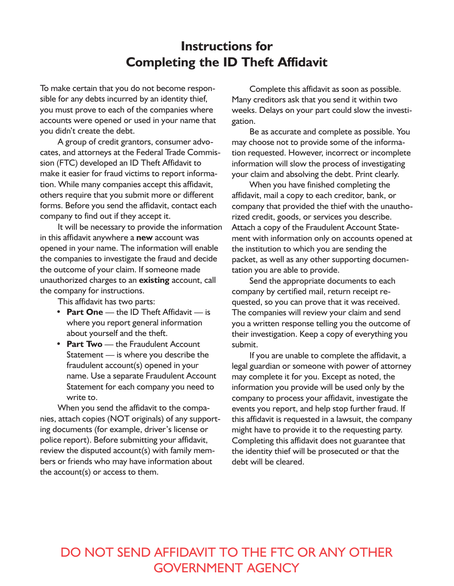### **Instructions for Completing the ID Theft Affidavit**

To make certain that you do not become responsible for any debts incurred by an identity thief, you must prove to each of the companies where accounts were opened or used in your name that you didn't create the debt.

A group of credit grantors, consumer advocates, and attorneys at the Federal Trade Commission (FTC) developed an ID Theft Affidavit to make it easier for fraud victims to report information. While many companies accept this affidavit, others require that you submit more or different forms. Before you send the affidavit, contact each company to find out if they accept it.

It will be necessary to provide the information in this affidavit anywhere a **new** account was opened in your name. The information will enable the companies to investigate the fraud and decide the outcome of your claim. If someone made unauthorized charges to an **existing** account, call the company for instructions.

This affidavit has two parts:

- **Part One** the ID Theft Affidavit is where you report general information about yourself and the theft.
- **Part Two** the Fraudulent Account Statement — is where you describe the fraudulent account(s) opened in your name. Use a separate Fraudulent Account Statement for each company you need to write to.

When you send the affidavit to the companies, attach copies (NOT originals) of any supporting documents (for example, driver's license or police report). Before submitting your affidavit, review the disputed account(s) with family members or friends who may have information about the account(s) or access to them.

Complete this affidavit as soon as possible. Many creditors ask that you send it within two weeks. Delays on your part could slow the investigation.

Be as accurate and complete as possible. You may choose not to provide some of the information requested. However, incorrect or incomplete information will slow the process of investigating your claim and absolving the debt. Print clearly.

When you have finished completing the affidavit, mail a copy to each creditor, bank, or company that provided the thief with the unauthorized credit, goods, or services you describe. Attach a copy of the Fraudulent Account Statement with information only on accounts opened at the institution to which you are sending the packet, as well as any other supporting documentation you are able to provide.

Send the appropriate documents to each company by certified mail, return receipt requested, so you can prove that it was received. The companies will review your claim and send you a written response telling you the outcome of their investigation. Keep a copy of everything you submit.

If you are unable to complete the affidavit, a legal guardian or someone with power of attorney may complete it for you. Except as noted, the information you provide will be used only by the company to process your affidavit, investigate the events you report, and help stop further fraud. If this affidavit is requested in a lawsuit, the company might have to provide it to the requesting party. Completing this affidavit does not guarantee that the identity thief will be prosecuted or that the debt will be cleared.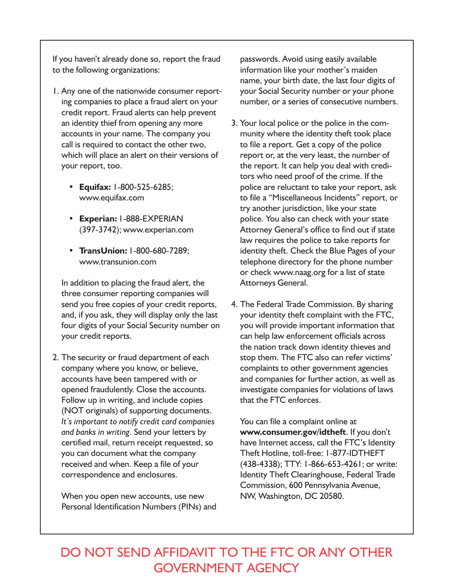If you haven't already done so, report the fraud to the following organizations:

- 1. Any one of the nationwide consumer reporting companies to place a fraud alert on your credit report. Fraud alerts can help prevent an identity thief from opening any more accounts in your name. The company you call is required to contact the other two, which will place an alert on their versions of your report, too.
	- **Equifax:** 1-800-525-6285; www.equifax.com
	- **Experian:** 1-888-EXPERIAN (397-3742); www.experian.com
	- **TransUnion:** 1-800-680-7289; www.transunion.com

In addition to placing the fraud alert, the three consumer reporting companies will send you free copies of your credit reports, and, if you ask, they will display only the last four digits of your Social Security number on your credit reports.

2. The security or fraud department of each company where you know, or believe, accounts have been tampered with or opened fraudulently. Close the accounts. Follow up in writing, and include copies (NOT originals) of supporting documents. *It's important to notify credit card companies and banks in writing.* Send your letters by certified mail, return receipt requested, so you can document what the company received and when. Keep a file of your correspondence and enclosures.

When you open new accounts, use new Personal Identification Numbers (PINs) and

passwords. Avoid using easily available information like your mother's maiden name, your birth date, the last four digits of your Social Security number or your phone number, or a series of consecutive numbers.

- 3. Your local police or the police in the community where the identity theft took place to file a report. Get a copy of the police report or, at the very least, the number of the report. It can help you deal with creditors who need proof of the crime. If the police are reluctant to take your report, ask to file a "Miscellaneous Incidents" report, or try another jurisdiction, like your state police. You also can check with your state Attorney General's office to find out if state law requires the police to take reports for identity theft. Check the Blue Pages of your telephone directory for the phone number or check www.naag.org for a list of state Attorneys General.
- 4. The Federal Trade Commission. By sharing your identity theft complaint with the FTC, you will provide important information that can help law enforcement officials across the nation track down identity thieves and stop them. The FTC also can refer victims' complaints to other government agencies and companies for further action, as well as investigate companies for violations of laws that the FTC enforces.

You can file a complaint online at **www.consumer.gov/idtheft**. If you don't have Internet access, call the FTC's Identity Theft Hotline, toll-free: 1-877-IDTHEFT (438-4338); TTY: 1-866-653-4261; or write: Identity Theft Clearinghouse, Federal Trade Commission, 600 Pennsylvania Avenue, NW, Washington, DC 20580.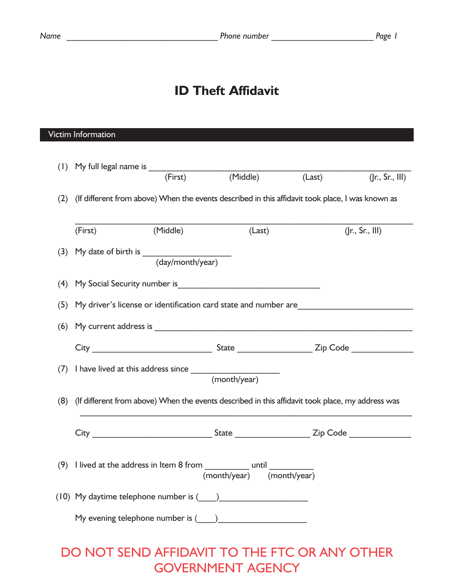## **ID Theft Affidavit**

|     |                                                                                                  | (First)                                                 | (Middle)                                                                            | (Last) | ( r., Sr.,    ) |  |  |  |  |
|-----|--------------------------------------------------------------------------------------------------|---------------------------------------------------------|-------------------------------------------------------------------------------------|--------|-----------------|--|--|--|--|
| (2) | (If different from above) When the events described in this affidavit took place, I was known as |                                                         |                                                                                     |        |                 |  |  |  |  |
|     | (First) (Middle)                                                                                 |                                                         | (Last)                                                                              |        | (Ir., Sr., III) |  |  |  |  |
| (3) |                                                                                                  | My date of birth is $\frac{1}{\text{(day/month/year)}}$ |                                                                                     |        |                 |  |  |  |  |
| (4) |                                                                                                  |                                                         | My Social Security number is <b>Exercise 2018</b> and the second security number is |        |                 |  |  |  |  |
| (5) | My driver's license or identification card state and number are                                  |                                                         |                                                                                     |        |                 |  |  |  |  |
| (6) |                                                                                                  |                                                         |                                                                                     |        |                 |  |  |  |  |
|     |                                                                                                  |                                                         |                                                                                     |        |                 |  |  |  |  |
| (7) |                                                                                                  |                                                         |                                                                                     |        |                 |  |  |  |  |
| (8) | (If different from above) When the events described in this affidavit took place, my address was |                                                         |                                                                                     |        |                 |  |  |  |  |
|     |                                                                                                  |                                                         |                                                                                     |        |                 |  |  |  |  |
|     | (9) I lived at the address in Item 8 from _____________ until<br>(month/year) (month/year)       |                                                         |                                                                                     |        |                 |  |  |  |  |
|     | (10) My daytime telephone number is (10)                                                         |                                                         |                                                                                     |        |                 |  |  |  |  |
|     |                                                                                                  |                                                         |                                                                                     |        |                 |  |  |  |  |

GOVERNMENT AGENCY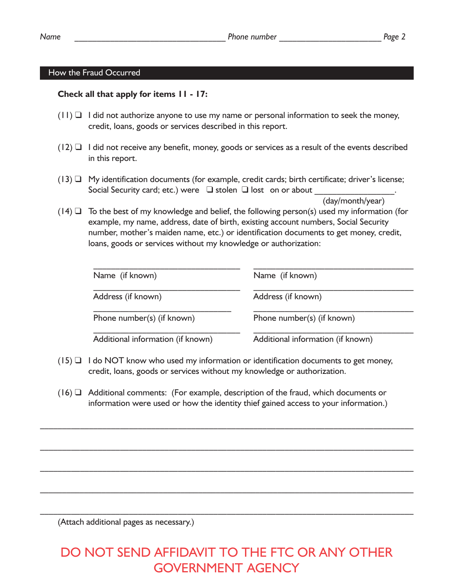#### How the Fraud Occurred

### **Check all that apply for items 11 - 17:**

- $(11)$  I did not authorize anyone to use my name or personal information to seek the money, credit, loans, goods or services described in this report.
- $(12)$  I did not receive any benefit, money, goods or services as a result of the events described in this report.
- $(13)$   $\Box$  My identification documents (for example, credit cards; birth certificate; driver's license; Social Security card; etc.) were  $\Box$  stolen  $\Box$  lost on or about

(day/month/year)

 $(14)$   $\Box$  To the best of my knowledge and belief, the following person(s) used my information (for example, my name, address, date of birth, existing account numbers, Social Security number, mother's maiden name, etc.) or identification documents to get money, credit, loans, goods or services without my knowledge or authorization:

| Name (if known)                   | Name (if known)                   |
|-----------------------------------|-----------------------------------|
|                                   |                                   |
| Address (if known)                | Address (if known)                |
| Phone number(s) (if known)        | Phone number(s) (if known)        |
| Additional information (if known) | Additional information (if known) |

- $(15)$   $\Box$  I do NOT know who used my information or identification documents to get money, credit, loans, goods or services without my knowledge or authorization.
- $(16)$   $\Box$  Additional comments: (For example, description of the fraud, which documents or information were used or how the identity thief gained access to your information.)

 $\_$  , and the state of the state of the state of the state of the state of the state of the state of the state of the state of the state of the state of the state of the state of the state of the state of the state of the

 $\mathcal{L}_\mathcal{L} = \{ \mathcal{L}_\mathcal{L} = \{ \mathcal{L}_\mathcal{L} = \{ \mathcal{L}_\mathcal{L} = \{ \mathcal{L}_\mathcal{L} = \{ \mathcal{L}_\mathcal{L} = \{ \mathcal{L}_\mathcal{L} = \{ \mathcal{L}_\mathcal{L} = \{ \mathcal{L}_\mathcal{L} = \{ \mathcal{L}_\mathcal{L} = \{ \mathcal{L}_\mathcal{L} = \{ \mathcal{L}_\mathcal{L} = \{ \mathcal{L}_\mathcal{L} = \{ \mathcal{L}_\mathcal{L} = \{ \mathcal{L}_\mathcal{$ 

(Attach additional pages as necessary.)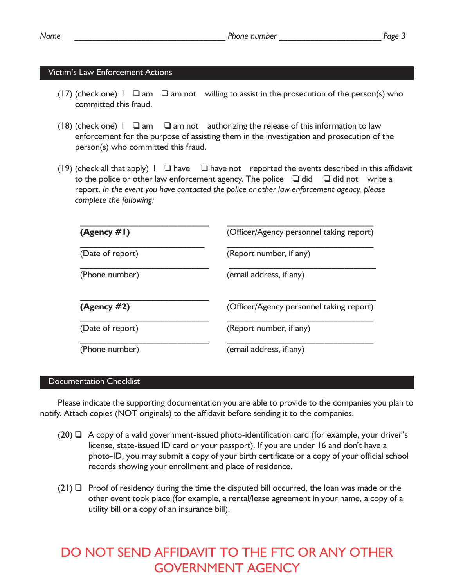### Victim's Law Enforcement Actions

- (17) (check one)  $I \square$  am  $\square$  am not willing to assist in the prosecution of the person(s) who committed this fraud.
- (18) (check one)  $I \square$  am  $\square$  am not authorizing the release of this information to law enforcement for the purpose of assisting them in the investigation and prosecution of the person(s) who committed this fraud.
- (19) (check all that apply)  $\Box$  have  $\Box$  have not reported the events described in this affidavit to the police or other law enforcement agency. The police  $\Box$  did  $\Box$  did not write a report. *In the event you have contacted the police or other law enforcement agency, please complete the following:*

| (Agency $#I$ )   | (Officer/Agency personnel taking report) |  |  |
|------------------|------------------------------------------|--|--|
| (Date of report) | (Report number, if any)                  |  |  |
| (Phone number)   | (email address, if any)                  |  |  |
| (Agency $#2$ )   | (Officer/Agency personnel taking report) |  |  |
| (Date of report) | (Report number, if any)                  |  |  |
| (Phone number)   | (email address, if any)                  |  |  |

#### Documentation Checklist

Please indicate the supporting documentation you are able to provide to the companies you plan to notify. Attach copies (NOT originals) to the affidavit before sending it to the companies.

- $(20)$   $\Box$  A copy of a valid government-issued photo-identification card (for example, your driver's license, state-issued ID card or your passport). If you are under 16 and don't have a photo-ID, you may submit a copy of your birth certificate or a copy of your official school records showing your enrollment and place of residence.
- $(21)$   $\Box$  Proof of residency during the time the disputed bill occurred, the loan was made or the other event took place (for example, a rental/lease agreement in your name, a copy of a utility bill or a copy of an insurance bill).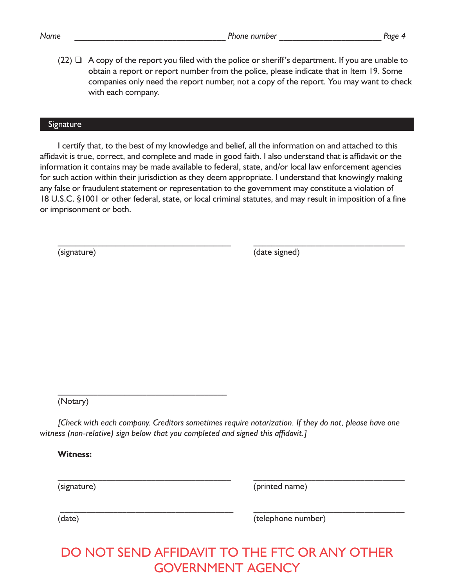$(22)$   $\Box$  A copy of the report you filed with the police or sheriff's department. If you are unable to obtain a report or report number from the police, please indicate that in Item 19. Some companies only need the report number, not a copy of the report. You may want to check with each company.

#### **Signature**

I certify that, to the best of my knowledge and belief, all the information on and attached to this affidavit is true, correct, and complete and made in good faith. I also understand that is affidavit or the information it contains may be made available to federal, state, and/or local law enforcement agencies for such action within their jurisdiction as they deem appropriate. I understand that knowingly making any false or fraudulent statement or representation to the government may constitute a violation of 18 U.S.C. §1001 or other federal, state, or local criminal statutes, and may result in imposition of a fine or imprisonment or both.

 $\mathcal{L}_\text{max} = \frac{1}{2} \sum_{i=1}^n \mathcal{L}_\text{max}(\mathbf{z}_i - \mathbf{z}_i)$ 

(signature) (date signed)

(Notary)

*[Check with each company. Creditors sometimes require notarization. If they do not, please have one witness (non-relative) sign below that you completed and signed this affidavit.]*

**Witness:**

(signature) (signature) (printed name)

(date) (date) (telephone number)

# DO NOT SEND AFFIDAVIT TO THE FTC OR ANY OTHER GOVERNMENT AGENCY

 $\_$  , and the state of the state of the state of the state of the state of the state of the state of the state of the state of the state of the state of the state of the state of the state of the state of the state of the

 $\mathcal{L}_\text{max} = \frac{1}{2} \sum_{i=1}^n \mathcal{L}_\text{max}(\mathbf{x}_i - \mathbf{y}_i)$